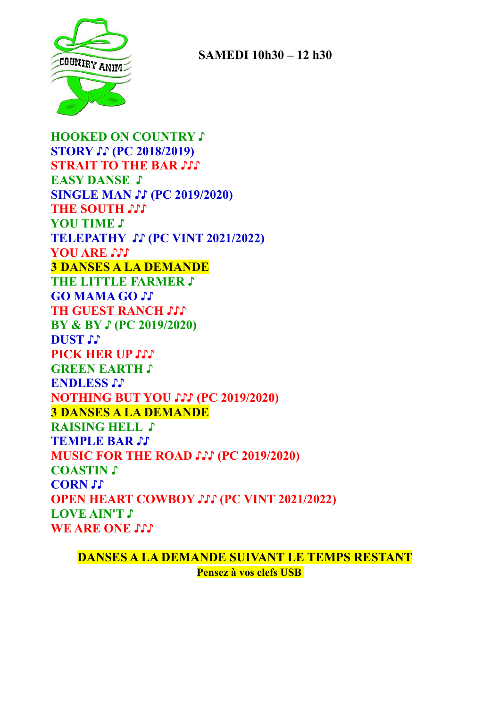

 **SAMEDI 10h30 – 12 h30**

**HOOKED ON COUNTRY ♪ STORY ♪♪ (PC 2018/2019) STRAIT TO THE BAR ♪♪♪ EASY DANSE ♪ SINGLE MAN ♪♪ (PC 2019/2020) THE SOUTH ♪♪♪ YOU TIME ♪ TELEPATHY ♪♪ (PC VINT 2021/2022) YOU ARE ♪♪♪ 3 DANSES A LA DEMANDE THE LITTLE FARMER ♪ GO MAMA GO ♪♪ TH GUEST RANCH ♪♪♪ BY & BY ♪ (PC 2019/2020) DUST ♪♪ PICK HER UP ♪♪♪ GREEN EARTH ♪ ENDLESS ♪♪ NOTHING BUT YOU ♪♪♪ (PC 2019/2020) 3 DANSES A LA DEMANDE RAISING HELL ♪ TEMPLE BAR ♪♪ MUSIC FOR THE ROAD ♪♪♪ (PC 2019/2020) COASTIN ♪ CORN ♪♪ OPEN HEART COWBOY ♪♪♪ (PC VINT 2021/2022) LOVE AIN'T ♪ WE ARE ONE** 

**DANSES A LA DEMANDE SUIVANT LE TEMPS RESTANT Pensez à vos clefs USB**